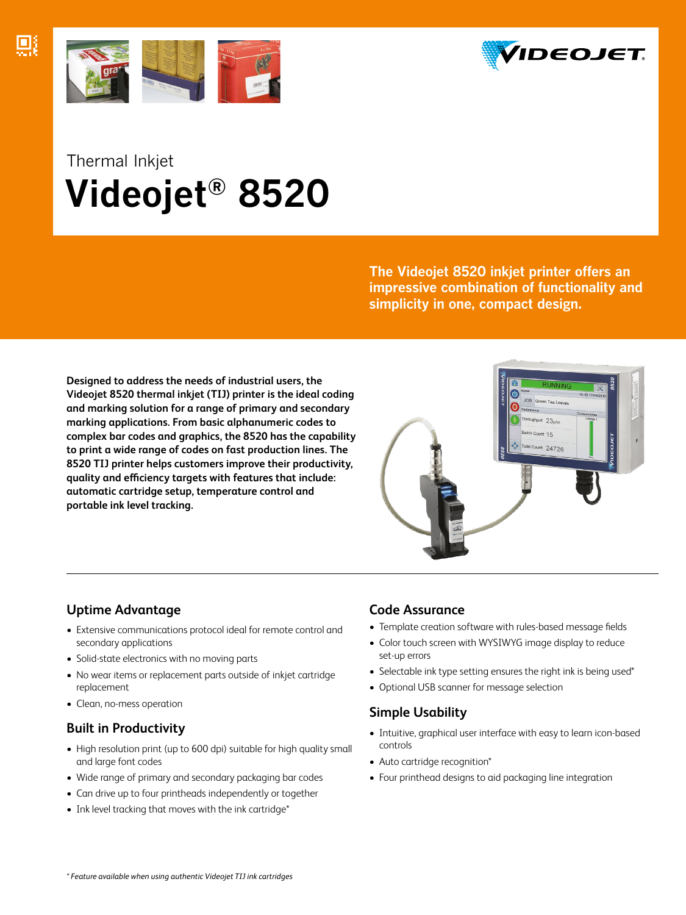





# Thermal Inkjet  **Videojet® 8520**

**The Videojet 8520 inkjet printer offers an impressive combination of functionality and simplicity in one, compact design.**

**Designed to address the needs of industrial users, the Videojet 8520 thermal inkjet (TIJ) printer is the ideal coding and marking solution for a range of primary and secondary marking applications. From basic alphanumeric codes to complex bar codes and graphics, the 8520 has the capability to print a wide range of codes on fast production lines. The 8520 TIJ printer helps customers improve their productivity, quality and efficiency targets with features that include: automatic cartridge setup, temperature control and portable ink level tracking.**



## **Uptime Advantage**

- Extensive communications protocol ideal for remote control and secondary applications
- Solid-state electronics with no moving parts
- No wear items or replacement parts outside of inkjet cartridge replacement
- Clean, no-mess operation

## **Built in Productivity**

- High resolution print (up to 600 dpi) suitable for high quality small and large font codes
- Wide range of primary and secondary packaging bar codes
- Can drive up to four printheads independently or together
- Ink level tracking that moves with the ink cartridge\*

## **Code Assurance**

- Template creation software with rules-based message fields
- Color touch screen with WYSIWYG image display to reduce set-up errors
- Selectable ink type setting ensures the right ink is being used\*
- Optional USB scanner for message selection

## **Simple Usability**

- Intuitive, graphical user interface with easy to learn icon-based controls
- Auto cartridge recognition\*
- Four printhead designs to aid packaging line integration